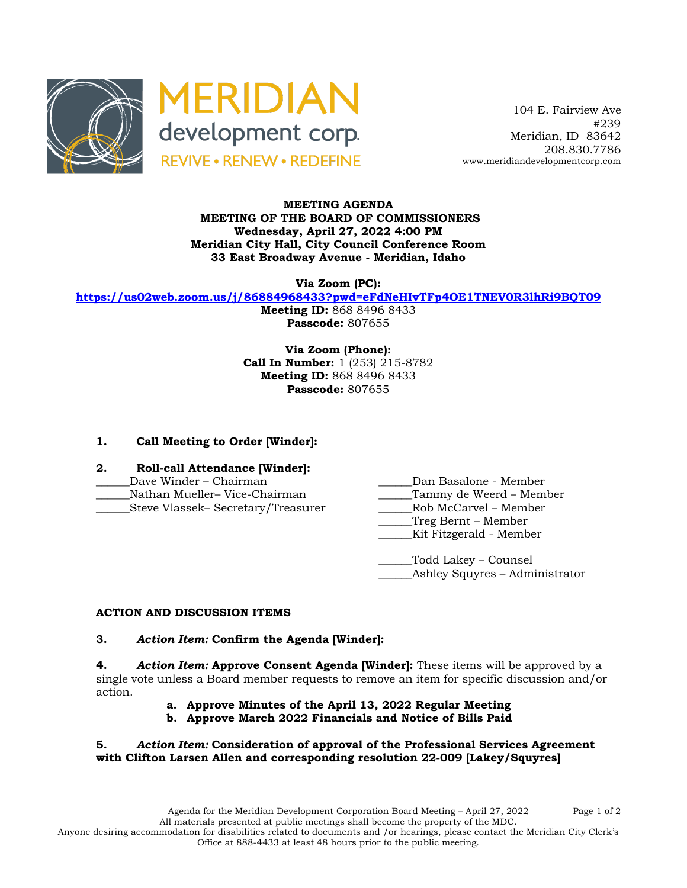



 104 E. Fairview Ave #239 Meridian, ID 83642 208.830.7786 www.meridiandevelopmentcorp.com

#### **MEETING AGENDA MEETING OF THE BOARD OF COMMISSIONERS Wednesday, April 27, 2022 4:00 PM Meridian City Hall, City Council Conference Room 33 East Broadway Avenue - Meridian, Idaho**

**Via Zoom (PC):**

**https://us02web.zoom.us/j/86884968433?pwd=eFdNeHIvTFp4OE1TNEV0R3lhRi9BQT09**

**Meeting ID:** 868 8496 8433 **Passcode:** 807655

**Via Zoom (Phone): Call In Number:** 1 (253) 215-8782 **Meeting ID:** 868 8496 8433 **Passcode:** 807655

# **1. Call Meeting to Order [Winder]:**

- **2. Roll-call Attendance [Winder]:**
- 
- \_\_\_\_\_\_Nathan Mueller– Vice-Chairman \_\_\_\_\_\_Tammy de Weerd Member
- \_\_\_\_\_\_Steve Vlassek– Secretary/Treasurer \_\_\_\_\_\_Rob McCarvel Member
- Dave Winder Chairman **Dan Basalone Member** 
	-
	- \_\_\_\_\_\_Treg Bernt Member
	- \_\_\_\_\_\_Kit Fitzgerald Member

\_\_\_\_\_\_Todd Lakey – Counsel Ashley Squyres – Administrator

## **ACTION AND DISCUSSION ITEMS**

## **3.** *Action Item:* **Confirm the Agenda [Winder]:**

**4.** *Action Item:* **Approve Consent Agenda [Winder]:** These items will be approved by a single vote unless a Board member requests to remove an item for specific discussion and/or action.

- **a. Approve Minutes of the April 13, 2022 Regular Meeting**
- **b. Approve March 2022 Financials and Notice of Bills Paid**

## **5.** *Action Item:* **Consideration of approval of the Professional Services Agreement with Clifton Larsen Allen and corresponding resolution 22-009 [Lakey/Squyres]**